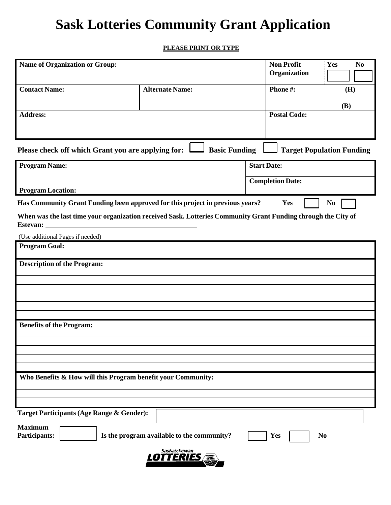## **Sask Lotteries Community Grant Application**

## **PLEASE PRINT OR TYPE**

| <b>Name of Organization or Group:</b>                                                                                            |                        | <b>Non Profit</b>       | Yes<br>N <sub>0</sub>            |  |
|----------------------------------------------------------------------------------------------------------------------------------|------------------------|-------------------------|----------------------------------|--|
|                                                                                                                                  |                        | Organization            |                                  |  |
| <b>Contact Name:</b>                                                                                                             | <b>Alternate Name:</b> | Phone#:                 | (H)                              |  |
|                                                                                                                                  |                        |                         | <b>(B)</b>                       |  |
| <b>Address:</b>                                                                                                                  |                        | <b>Postal Code:</b>     |                                  |  |
|                                                                                                                                  |                        |                         |                                  |  |
| Please check off which Grant you are applying for:                                                                               | <b>Basic Funding</b>   |                         | <b>Target Population Funding</b> |  |
| <b>Program Name:</b>                                                                                                             |                        | <b>Start Date:</b>      |                                  |  |
|                                                                                                                                  |                        | <b>Completion Date:</b> |                                  |  |
| <b>Program Location:</b>                                                                                                         |                        |                         |                                  |  |
| Has Community Grant Funding been approved for this project in previous years?<br>Yes<br>N <sub>0</sub>                           |                        |                         |                                  |  |
| When was the last time your organization received Sask. Lotteries Community Grant Funding through the City of<br><b>Estevan:</b> |                        |                         |                                  |  |
| (Use additional Pages if needed)                                                                                                 |                        |                         |                                  |  |
| <b>Program Goal:</b>                                                                                                             |                        |                         |                                  |  |
| <b>Description of the Program:</b>                                                                                               |                        |                         |                                  |  |
|                                                                                                                                  |                        |                         |                                  |  |
|                                                                                                                                  |                        |                         |                                  |  |
|                                                                                                                                  |                        |                         |                                  |  |
|                                                                                                                                  |                        |                         |                                  |  |
| <b>Benefits of the Program:</b>                                                                                                  |                        |                         |                                  |  |
|                                                                                                                                  |                        |                         |                                  |  |
|                                                                                                                                  |                        |                         |                                  |  |
|                                                                                                                                  |                        |                         |                                  |  |
| Who Benefits & How will this Program benefit your Community:                                                                     |                        |                         |                                  |  |
|                                                                                                                                  |                        |                         |                                  |  |
|                                                                                                                                  |                        |                         |                                  |  |
| Target Participants (Age Range & Gender):                                                                                        |                        |                         |                                  |  |
| <b>Maximum</b><br><b>Participants:</b><br>Is the program available to the community?<br>Yes<br>N <sub>0</sub>                    |                        |                         |                                  |  |
| Saskatchewan<br>LOTTERIES                                                                                                        |                        |                         |                                  |  |